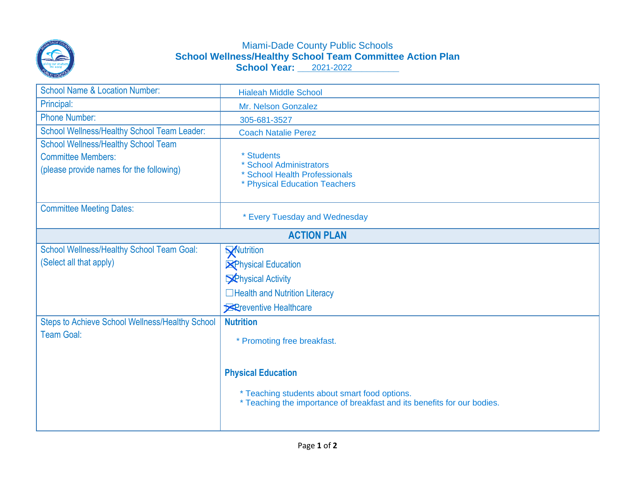

## Miami-Dade County Public Schools **School Wellness/Healthy School Team Committee Action Plan School Year: \_\_\_\_\_\_\_\_\_\_\_\_\_\_\_\_\_\_\_** 2021-2022

| <b>School Name &amp; Location Number:</b>                                                                           | <b>Hialeah Middle School</b>                                                                                             |
|---------------------------------------------------------------------------------------------------------------------|--------------------------------------------------------------------------------------------------------------------------|
| Principal:                                                                                                          | Mr. Nelson Gonzalez                                                                                                      |
| <b>Phone Number:</b>                                                                                                | 305-681-3527                                                                                                             |
| School Wellness/Healthy School Team Leader:                                                                         | <b>Coach Natalie Perez</b>                                                                                               |
| <b>School Wellness/Healthy School Team</b><br><b>Committee Members:</b><br>(please provide names for the following) | * Students<br>* School Administrators<br>* School Health Professionals<br>* Physical Education Teachers                  |
| <b>Committee Meeting Dates:</b>                                                                                     | * Every Tuesday and Wednesday                                                                                            |
| <b>ACTION PLAN</b>                                                                                                  |                                                                                                                          |
| <b>School Wellness/Healthy School Team Goal:</b>                                                                    | Wutrition                                                                                                                |
| (Select all that apply)                                                                                             | <b>X</b> Physical Education                                                                                              |
|                                                                                                                     | <b>Schysical Activity</b>                                                                                                |
|                                                                                                                     | □Health and Nutrition Literacy                                                                                           |
|                                                                                                                     | <b>X</b> Preventive Healthcare                                                                                           |
| <b>Steps to Achieve School Wellness/Healthy School</b>                                                              | <b>Nutrition</b>                                                                                                         |
| <b>Team Goal:</b>                                                                                                   | * Promoting free breakfast.                                                                                              |
|                                                                                                                     | <b>Physical Education</b>                                                                                                |
|                                                                                                                     | * Teaching students about smart food options.<br>* Teaching the importance of breakfast and its benefits for our bodies. |